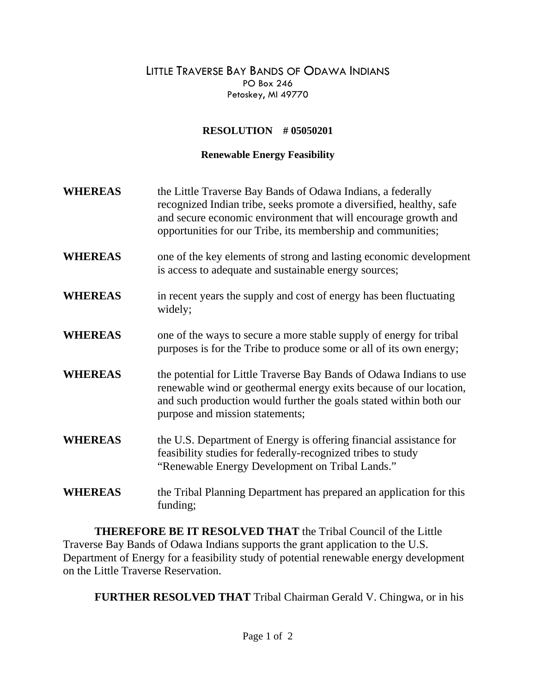## LITTLE TRAVERSE BAY BANDS OF ODAWA INDIANS PO Box 246 Petoskey, MI 49770

## **RESOLUTION # 05050201**

## **Renewable Energy Feasibility**

| <b>WHEREAS</b> | the Little Traverse Bay Bands of Odawa Indians, a federally<br>recognized Indian tribe, seeks promote a diversified, healthy, safe<br>and secure economic environment that will encourage growth and<br>opportunities for our Tribe, its membership and communities; |
|----------------|----------------------------------------------------------------------------------------------------------------------------------------------------------------------------------------------------------------------------------------------------------------------|
| <b>WHEREAS</b> | one of the key elements of strong and lasting economic development<br>is access to adequate and sustainable energy sources;                                                                                                                                          |
| <b>WHEREAS</b> | in recent years the supply and cost of energy has been fluctuating<br>widely;                                                                                                                                                                                        |
| <b>WHEREAS</b> | one of the ways to secure a more stable supply of energy for tribal<br>purposes is for the Tribe to produce some or all of its own energy;                                                                                                                           |
| <b>WHEREAS</b> | the potential for Little Traverse Bay Bands of Odawa Indians to use<br>renewable wind or geothermal energy exits because of our location,<br>and such production would further the goals stated within both our<br>purpose and mission statements;                   |
| <b>WHEREAS</b> | the U.S. Department of Energy is offering financial assistance for<br>feasibility studies for federally-recognized tribes to study<br>"Renewable Energy Development on Tribal Lands."                                                                                |
| <b>WHEREAS</b> | the Tribal Planning Department has prepared an application for this<br>funding;                                                                                                                                                                                      |

**THEREFORE BE IT RESOLVED THAT** the Tribal Council of the Little Traverse Bay Bands of Odawa Indians supports the grant application to the U.S. Department of Energy for a feasibility study of potential renewable energy development on the Little Traverse Reservation.

**FURTHER RESOLVED THAT** Tribal Chairman Gerald V. Chingwa, or in his